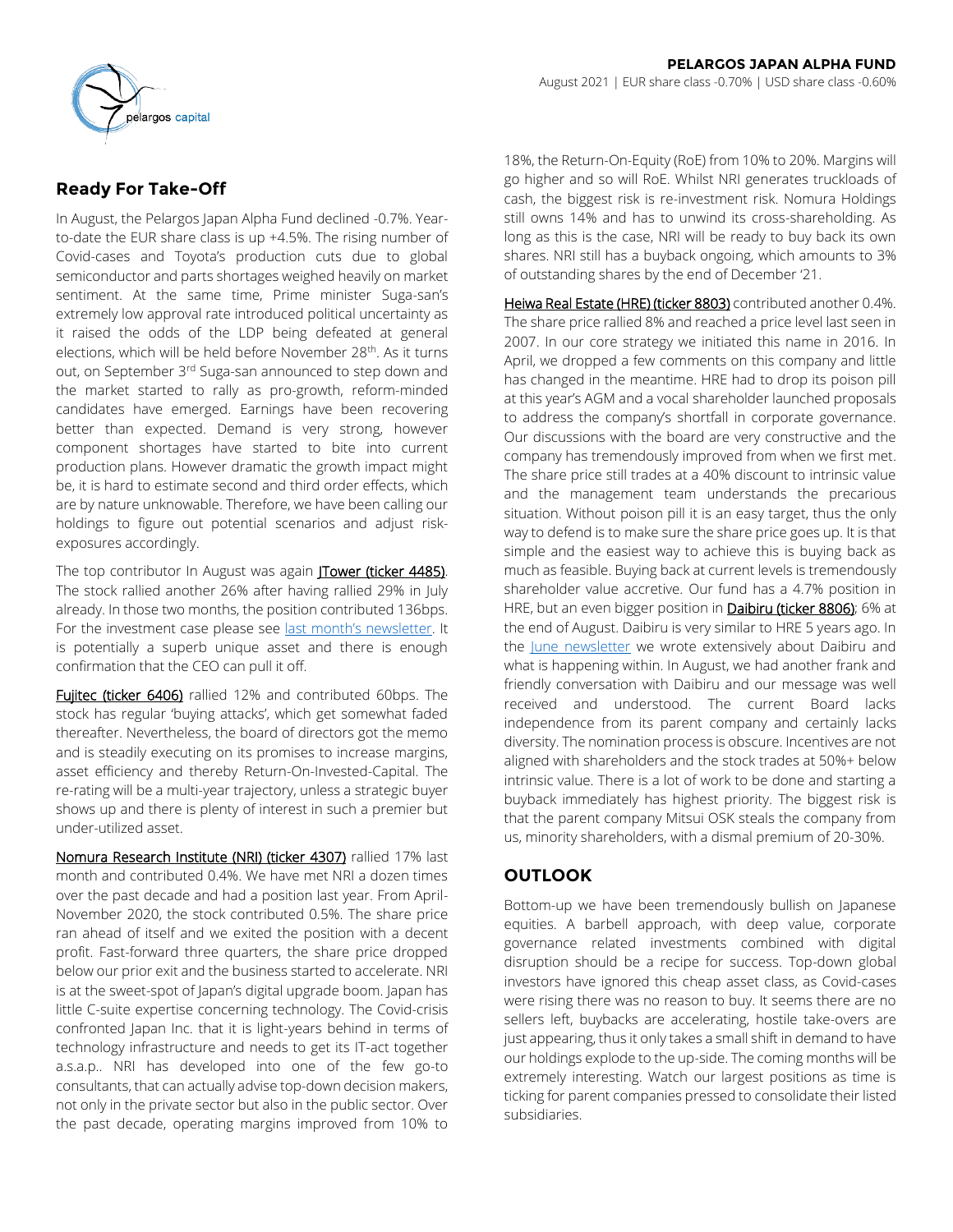

In August, the Pelargos Japan Alpha Fund declined -0.7%. Yearto-date the EUR share class is up +4.5%. The rising number of Covid-cases and Toyota's production cuts due to global semiconductor and parts shortages weighed heavily on market sentiment. At the same time, Prime minister Suga-san's extremely low approval rate introduced political uncertainty as it raised the odds of the LDP being defeated at general elections, which will be held before November 28<sup>th</sup>. As it turns out, on September 3rd Suga-san announced to step down and the market started to rally as pro-growth, reform-minded candidates have emerged. Earnings have been recovering better than expected. Demand is very strong, however component shortages have started to bite into current production plans. However dramatic the growth impact might be, it is hard to estimate second and third order effects, which are by nature unknowable. Therefore, we have been calling our holdings to figure out potential scenarios and adjust riskexposures accordingly.

The top contributor In August was again *JTower (ticker 4485)*. The stock rallied another 26% after having rallied 29% in July already. In those two months, the position contributed 136bps. For the investment case please see [last month's newsletter](https://www.pelargoscapital.com/news?cat=newsletters-japan). It is potentially a superb unique asset and there is enough confirmation that the CEO can pull it off.

Fujitec (ticker 6406) rallied 12% and contributed 60bps. The stock has regular 'buying attacks', which get somewhat faded thereafter. Nevertheless, the board of directors got the memo and is steadily executing on its promises to increase margins, asset efficiency and thereby Return-On-Invested-Capital. The re-rating will be a multi-year trajectory, unless a strategic buyer shows up and there is plenty of interest in such a premier but under-utilized asset.

Nomura Research Institute (NRI) (ticker 4307) rallied 17% last month and contributed 0.4%. We have met NRI a dozen times over the past decade and had a position last year. From April-November 2020, the stock contributed 0.5%. The share price ran ahead of itself and we exited the position with a decent profit. Fast-forward three quarters, the share price dropped below our prior exit and the business started to accelerate. NRI is at the sweet-spot of Japan's digital upgrade boom. Japan has little C-suite expertise concerning technology. The Covid-crisis confronted Japan Inc. that it is light-years behind in terms of technology infrastructure and needs to get its IT-act together a.s.a.p.. NRI has developed into one of the few go-to consultants, that can actually advise top-down decision makers, not only in the private sector but also in the public sector. Over the past decade, operating margins improved from 10% to

18%, the Return-On-Equity (RoE) from 10% to 20%. Margins will go higher and so will RoE. Whilst NRI generates truckloads of cash, the biggest risk is re-investment risk. Nomura Holdings still owns 14% and has to unwind its cross-shareholding. As long as this is the case, NRI will be ready to buy back its own shares. NRI still has a buyback ongoing, which amounts to 3% of outstanding shares by the end of December '21.

Heiwa Real Estate (HRE) (ticker 8803) contributed another 0.4%. The share price rallied 8% and reached a price level last seen in 2007. In our core strategy we initiated this name in 2016. In April, we dropped a few comments on this company and little has changed in the meantime. HRE had to drop its poison pill at this year's AGM and a vocal shareholder launched proposals to address the company's shortfall in corporate governance. Our discussions with the board are very constructive and the company has tremendously improved from when we first met. The share price still trades at a 40% discount to intrinsic value and the management team understands the precarious situation. Without poison pill it is an easy target, thus the only way to defend is to make sure the share price goes up. It is that simple and the easiest way to achieve this is buying back as much as feasible. Buying back at current levels is tremendously shareholder value accretive. Our fund has a 4.7% position in HRE, but an even bigger position in **Daibiru (ticker 8806)**; 6% at the end of August. Daibiru is very similar to HRE 5 years ago. In the [June newsletter](https://www.pelargoscapital.com/news?cat=newsletters-japan) we wrote extensively about Daibiru and what is happening within. In August, we had another frank and friendly conversation with Daibiru and our message was well received and understood. The current Board lacks independence from its parent company and certainly lacks diversity. The nomination process is obscure. Incentives are not aligned with shareholders and the stock trades at 50%+ below intrinsic value. There is a lot of work to be done and starting a buyback immediately has highest priority. The biggest risk is that the parent company Mitsui OSK steals the company from us, minority shareholders, with a dismal premium of 20-30%.

# **OUTLOOK**

Bottom-up we have been tremendously bullish on Japanese equities. A barbell approach, with deep value, corporate governance related investments combined with digital disruption should be a recipe for success. Top-down global investors have ignored this cheap asset class, as Covid-cases were rising there was no reason to buy. It seems there are no sellers left, buybacks are accelerating, hostile take-overs are just appearing, thus it only takes a small shift in demand to have our holdings explode to the up-side. The coming months will be extremely interesting. Watch our largest positions as time is ticking for parent companies pressed to consolidate their listed subsidiaries.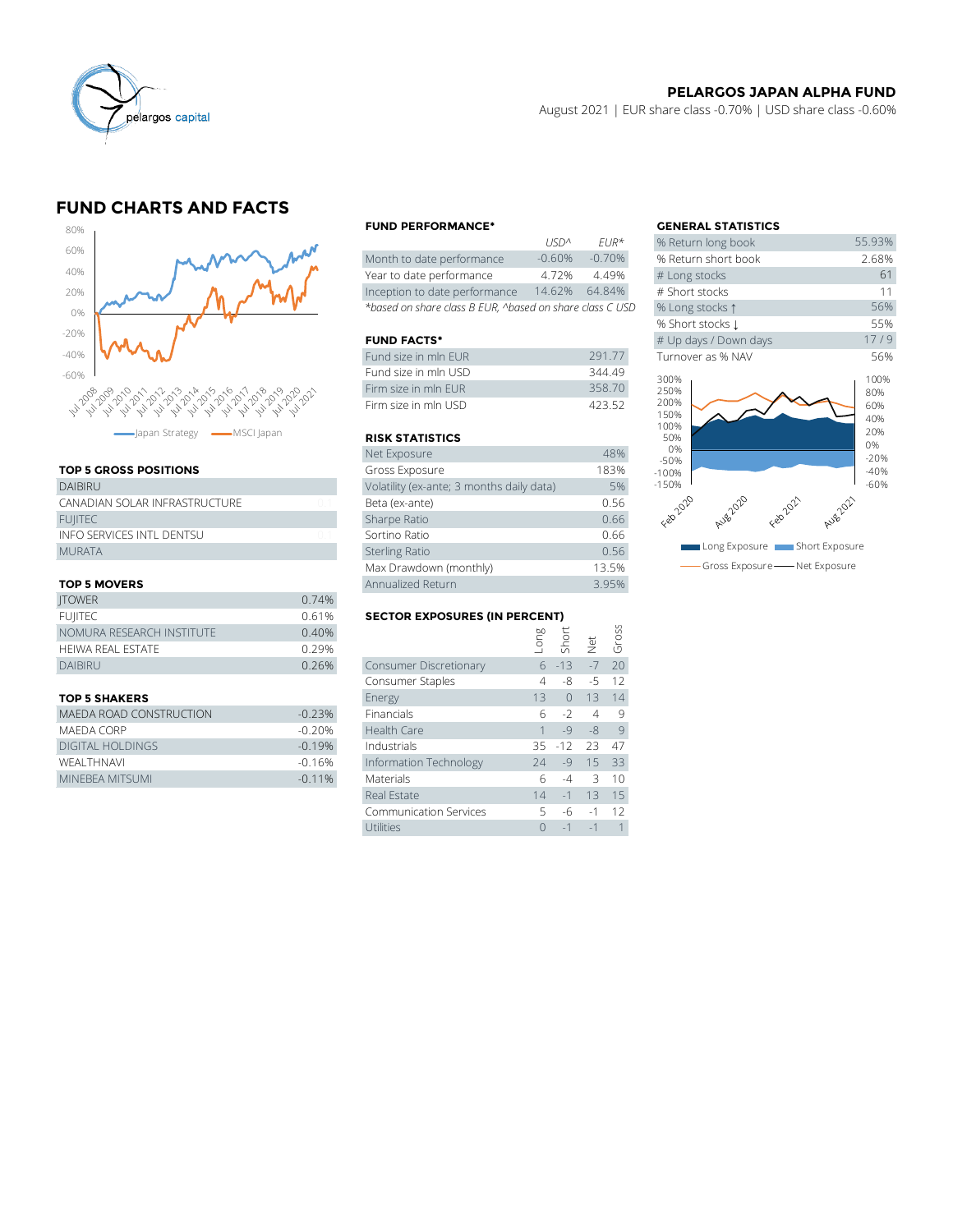

#### **PELARGOS JAPAN ALPHA FUND**

August 2021 | EUR share class -0.70% | USD share class -0.60%

# **FUND CHARTS AND FACTS**



### **TOP 5 GROSS POSITIONS**

| apan Strategy - MSCI Japan    |                | <b>RISK STATIS</b>    |
|-------------------------------|----------------|-----------------------|
|                               |                | Net Exposure          |
| <b>TOP 5 GROSS POSITIONS</b>  |                | Gross Exposu          |
| <b>DAIBIRU</b>                |                | Volatility (ex-ar     |
| CANADIAN SOLAR INFRASTRUCTURE | 01             | Beta (ex-ante)        |
| <b>FUIITEC</b>                |                | Sharpe Ratio          |
| INFO SERVICES INTL DENTSU     | 0 <sub>1</sub> | Sortino Ratio         |
| <b>MURATA</b>                 |                | <b>Sterling Ratio</b> |
|                               |                | Max Drawdow           |
|                               |                |                       |

#### **TOP 5 MOVERS**

|                           | Max Drawdown (monthly)               |                        |  |               |                      | 13.5%      |  |  |
|---------------------------|--------------------------------------|------------------------|--|---------------|----------------------|------------|--|--|
| <b>TOP 5 MOVERS</b>       | Annualized Return                    |                        |  |               | 3.95%                |            |  |  |
| <b>JTOWER</b>             | 0.74%                                |                        |  |               |                      |            |  |  |
| <b>FUIITEC</b>            | <b>SECTOR EXPOSURES (IN PERCENT)</b> |                        |  |               |                      |            |  |  |
| NOMURA RESEARCH INSTITUTE | 0.40%                                |                        |  | long<br>Short |                      | Gross<br>G |  |  |
| HEIWA REAL ESTATE         | 0.29%                                |                        |  |               | $\frac{1}{\sqrt{2}}$ |            |  |  |
| <b>DAIBIRU</b>            | 0.26%                                | Consumer Discretionary |  | $6 - 13$      | $-7$                 | 20         |  |  |
|                           |                                      | Consumer Staples       |  | -8            | $-5$                 | 12         |  |  |
|                           |                                      |                        |  |               |                      |            |  |  |

| MAEDA ROAD CONSTRUCTION | $-0.23%$ | <b>Financials</b>      |   | 6 -2                | <b>Q</b> |
|-------------------------|----------|------------------------|---|---------------------|----------|
| MAFDA CORP              | $-0.20%$ | Health Care            |   | $1 - 9 - 8 9$       |          |
| DIGITAL HOLDINGS        | $-0.19%$ | Industrials            |   | $35 - 12$ $23$ $47$ |          |
| WFAI THNAVI             | $-0.16%$ | Information Technology |   | $24 - 9$ 15 33      |          |
| MINEBEA MITSUMI         | $-0.11%$ | <b>Materials</b>       | h |                     | 10       |

#### **FUND PERFORMANCE\* GENERAL STATISTICS**

|                                                          | 11511''         | $FIR^{\pi}$ | % Return long dook  |
|----------------------------------------------------------|-----------------|-------------|---------------------|
| Month to date performance                                | $-0.60%$        | $-0.70\%$   | % Return short book |
| Year to date performance                                 | 4.72%           | 4.49%       | # Long stocks       |
| Inception to date performance                            | 14.62%          | 64.84%      | # Short stocks      |
| *based on share class B EUR, ^based on share class C USD | % Long stocks 1 |             |                     |

#### **FUND FACTS\***

| Fund size in mln EUR | 291 77 | Turnover as % NAV |
|----------------------|--------|-------------------|
| Fund size in mln USD | 344.49 | 300%              |
| Firm size in mln FUR | 358.70 | 250%              |
| Firm size in mln USD | 423.52 | 200%<br>1.5001    |

#### **RISK STATISTICS**

| Firm size in mln FUR                      | 358.70 |
|-------------------------------------------|--------|
| Firm size in mln USD                      | 423.52 |
|                                           |        |
| <b>RISK STATISTICS</b>                    |        |
| Net Exposure                              | 48%    |
| Gross Exposure                            | 183%   |
| Volatility (ex-ante; 3 months daily data) | 5%     |
| Beta (ex-ante)                            | 0.56   |
| Sharpe Ratio                              | 0.66   |
| Sortino Ratio                             | 0.66   |
| <b>Sterling Ratio</b>                     | 0.56   |
| Max Drawdown (monthly)                    | 13.5%  |
| Annualized Return                         | 3.95%  |

# **FULL SECTOR EXPOSURES (IN PERCENT)**<br>E and the control of the control of the control of the control of the control of the control of the control of <br>Simulation of the control of the control of the control of the control of

| <b>TOP 5 MOVERS</b>            |          | Annualized Return                    |      |            |      | 3.95%        |
|--------------------------------|----------|--------------------------------------|------|------------|------|--------------|
| <b>ITOWER</b>                  | 0.74%    |                                      |      |            |      |              |
| <b>FUIITEC</b>                 | 0.61%    | <b>SECTOR EXPOSURES (IN PERCENT)</b> |      |            |      |              |
| NOMURA RESEARCH INSTITUTE      | 0.40%    |                                      | suo- | Short      |      | Gross        |
| HEIWA REAL ESTATE              | 0.29%    |                                      |      |            | Net  |              |
| <b>DAIBIRU</b>                 | 0.26%    | Consumer Discretionary               |      | $6 - 13$   | $-7$ | 20           |
|                                |          | Consumer Staples                     | 4    | -8         | $-5$ | 12           |
| <b>TOP 5 SHAKERS</b>           |          | Energy                               | 13   | $\bigcirc$ | 13   | 14           |
| <b>MAEDA ROAD CONSTRUCTION</b> | $-0.23%$ | Financials                           | 6    | $-2$       | 4    | 9            |
| MAEDA CORP                     | $-0.20%$ | Health Care                          |      | $-9$       | $-8$ | 9            |
| <b>DIGITAL HOLDINGS</b>        | $-0.19%$ | Industrials                          | 35   | $-12$      | 23   | 47           |
| WEALTHNAVI                     | $-0.16%$ | Information Technology               | 24   | $-9$       | 15   | 33           |
| MINEBEA MITSUMI                | $-0.11%$ | Materials                            | 6    | $-4$       | 3    | 10           |
|                                |          | Real Estate                          | 14   | $-1$       | 13   | 15           |
|                                |          | <b>Communication Services</b>        | 5    | -6         | $-1$ | 12           |
|                                |          | Utilities                            | 0    | $-1$       | $-1$ | $\mathbf{1}$ |
|                                |          |                                      |      |            |      |              |

|             |                            | <b>GENERAL STATISTICS</b>                   |                                  |
|-------------|----------------------------|---------------------------------------------|----------------------------------|
| <b>USDA</b> | $FIR*$                     | % Return long book                          | 55.93%                           |
| $-0.60%$    | $-0.70%$                   | % Return short book                         | 2.68%                            |
| 4.72%       | 4.49%                      | # Long stocks                               | 61                               |
| 14.62%      | 64.84%                     | # Short stocks                              | 11                               |
|             | on share class C USD       | % Long stocks 1                             | 56%                              |
|             |                            | % Short stocks 1                            | 55%                              |
|             |                            | # Up days / Down days                       | 17/9                             |
|             | 291.77                     | Turnover as % NAV                           | 56%                              |
|             | 344.49<br>358.70<br>423.52 | 300%<br>250%<br>200%<br>150%<br>100%<br>50% | 100%<br>80%<br>60%<br>40%<br>20% |
|             | 48%                        | 0%<br>$-50%$                                | 0%<br>$-20%$                     |
|             | 183%                       | $-100%$                                     | $-40%$                           |
| data)       | 5%                         | $-150%$                                     | $-60%$                           |
|             | 0.56                       | Feb2020<br>Aug 2020<br>Feb2021<br>Aug2021   |                                  |
|             | 0.66                       |                                             |                                  |
|             | 0.66                       |                                             |                                  |
|             | 0.56                       | Long Exposure <b>Manual Short Exposure</b>  |                                  |
|             | 13.5%                      | Gross Exposure - Net Exposure               |                                  |